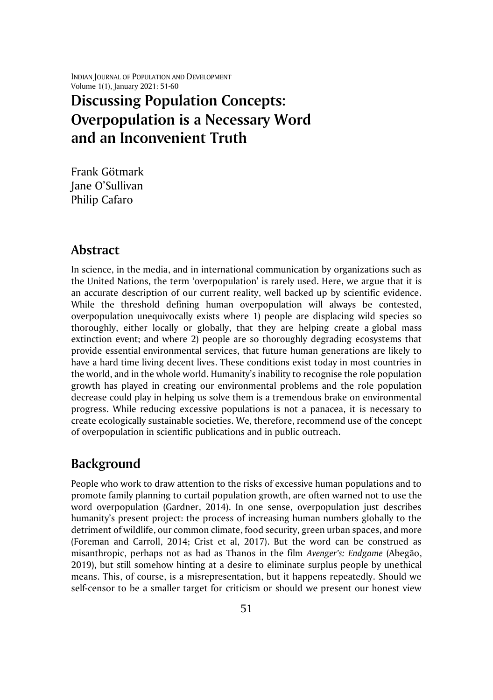INDIAN JOURNAL OF POPULATION AND DEVELOPMENT Volume 1(1), January 2021: 51-60

# **Discussing Population Concepts: Overpopulation is a Necessary Word and an Inconvenient Truth**

Frank Götmark Jane O'Sullivan Philip Cafaro

## **Abstract**

In science, in the media, and in international communication by organizations such as the United Nations, the term 'overpopulation' is rarely used. Here, we argue that it is an accurate description of our current reality, well backed up by scientific evidence. While the threshold defining human overpopulation will always be contested, overpopulation unequivocally exists where 1) people are displacing wild species so thoroughly, either locally or globally, that they are helping create a global mass extinction event; and where 2) people are so thoroughly degrading ecosystems that provide essential environmental services, that future human generations are likely to have a hard time living decent lives. These conditions exist today in most countries in the world, and in the whole world. Humanity's inability to recognise the role population growth has played in creating our environmental problems and the role population decrease could play in helping us solve them is a tremendous brake on environmental progress. While reducing excessive populations is not a panacea, it is necessary to create ecologically sustainable societies. We, therefore, recommend use of the concept of overpopulation in scientific publications and in public outreach.

## **Background**

People who work to draw attention to the risks of excessive human populations and to promote family planning to curtail population growth, are often warned not to use the word overpopulation (Gardner, 2014). In one sense, overpopulation just describes humanity's present project: the process of increasing human numbers globally to the detriment of wildlife, our common climate, food security, green urban spaces, and more (Foreman and Carroll, 2014; Crist et al, 2017). But the word can be construed as misanthropic, perhaps not as bad as Thanos in the film *Avenger's: Endgame* (Abegão, 2019), but still somehow hinting at a desire to eliminate surplus people by unethical means. This, of course, is a misrepresentation, but it happens repeatedly. Should we self-censor to be a smaller target for criticism or should we present our honest view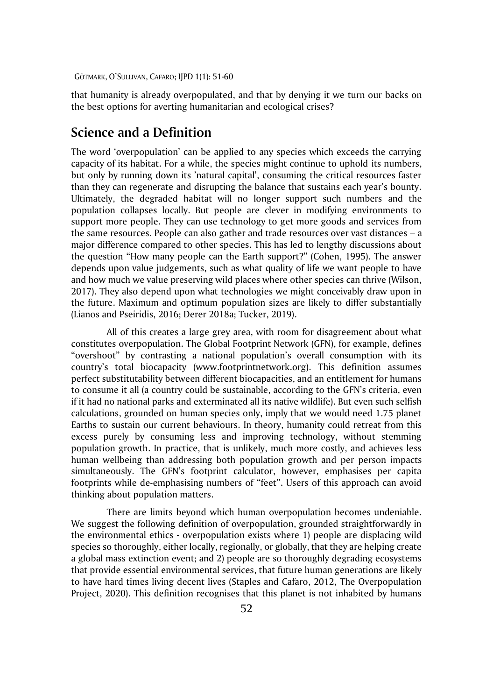that humanity is already overpopulated, and that by denying it we turn our backs on the best options for averting humanitarian and ecological crises?

#### **Science and a Definition**

The word 'overpopulation' can be applied to any species which exceeds the carrying capacity of its habitat. For a while, the species might continue to uphold its numbers, but only by running down its 'natural capital', consuming the critical resources faster than they can regenerate and disrupting the balance that sustains each year's bounty. Ultimately, the degraded habitat will no longer support such numbers and the population collapses locally. But people are clever in modifying environments to support more people. They can use technology to get more goods and services from the same resources. People can also gather and trade resources over vast distances – a major difference compared to other species. This has led to lengthy discussions about the question "How many people can the Earth support?" (Cohen, 1995). The answer depends upon value judgements, such as what quality of life we want people to have and how much we value preserving wild places where other species can thrive (Wilson, 2017). They also depend upon what technologies we might conceivably draw upon in the future. Maximum and optimum population sizes are likely to differ substantially (Lianos and Pseiridis, 2016; Derer 2018a; Tucker, 2019).

All of this creates a large grey area, with room for disagreement about what constitutes overpopulation. The Global Footprint Network (GFN), for example, defines "overshoot" by contrasting a national population's overall consumption with its country's total biocapacity (www.footprintnetwork.org). This definition assumes perfect substitutability between different biocapacities, and an entitlement for humans to consume it all (a country could be sustainable, according to the GFN's criteria, even if it had no national parks and exterminated all its native wildlife). But even such selfish calculations, grounded on human species only, imply that we would need 1.75 planet Earths to sustain our current behaviours. In theory, humanity could retreat from this excess purely by consuming less and improving technology, without stemming population growth. In practice, that is unlikely, much more costly, and achieves less human wellbeing than addressing both population growth and per person impacts simultaneously. The GFN's footprint calculator, however, emphasises per capita footprints while de-emphasising numbers of "feet". Users of this approach can avoid thinking about population matters.

There are limits beyond which human overpopulation becomes undeniable. We suggest the following definition of overpopulation, grounded straightforwardly in the environmental ethics - overpopulation exists where 1) people are displacing wild species so thoroughly, either locally, regionally, or globally, that they are helping create a global mass extinction event; and 2) people are so thoroughly degrading ecosystems that provide essential environmental services, that future human generations are likely to have hard times living decent lives (Staples and Cafaro, 2012, The Overpopulation Project, 2020). This definition recognises that this planet is not inhabited by humans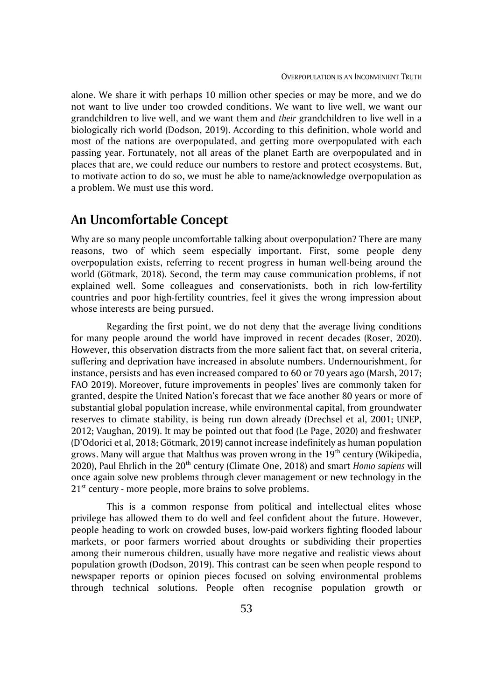alone. We share it with perhaps 10 million other species or may be more, and we do not want to live under too crowded conditions. We want to live well, we want our grandchildren to live well, and we want them and *their* grandchildren to live well in a biologically rich world (Dodson, 2019). According to this definition, whole world and most of the nations are overpopulated, and getting more overpopulated with each passing year. Fortunately, not all areas of the planet Earth are overpopulated and in places that are, we could reduce our numbers to restore and protect ecosystems. But, to motivate action to do so, we must be able to name/acknowledge overpopulation as a problem. We must use this word.

# **An Uncomfortable Concept**

Why are so many people uncomfortable talking about overpopulation? There are many reasons, two of which seem especially important. First, some people deny overpopulation exists, referring to recent progress in human well-being around the world (Götmark, 2018). Second, the term may cause communication problems, if not explained well. Some colleagues and conservationists, both in rich low-fertility countries and poor high-fertility countries, feel it gives the wrong impression about whose interests are being pursued.

Regarding the first point, we do not deny that the average living conditions for many people around the world have improved in recent decades (Roser, 2020). However, this observation distracts from the more salient fact that, on several criteria, suffering and deprivation have increased in absolute numbers. Undernourishment, for instance, persists and has even increased compared to 60 or 70 years ago (Marsh, 2017; FAO 2019). Moreover, future improvements in peoples' lives are commonly taken for granted, despite the United Nation's forecast that we face another 80 years or more of substantial global population increase, while environmental capital, from groundwater reserves to climate stability, is being run down already (Drechsel et al, 2001; UNEP, 2012; Vaughan, 2019). It may be pointed out that food (Le Page, 2020) and freshwater (D'Odorici et al, 2018; Götmark, 2019) cannot increase indefinitely as human population grows. Many will argue that Malthus was proven wrong in the  $19<sup>th</sup>$  century (Wikipedia, 2020), Paul Ehrlich in the 20th century (Climate One, 2018) and smart *Homo sapiens* will once again solve new problems through clever management or new technology in the  $21<sup>st</sup>$  century - more people, more brains to solve problems.

This is a common response from political and intellectual elites whose privilege has allowed them to do well and feel confident about the future. However, people heading to work on crowded buses, low-paid workers fighting flooded labour markets, or poor farmers worried about droughts or subdividing their properties among their numerous children, usually have more negative and realistic views about population growth (Dodson, 2019). This contrast can be seen when people respond to newspaper reports or opinion pieces focused on solving environmental problems through technical solutions. People often recognise population growth or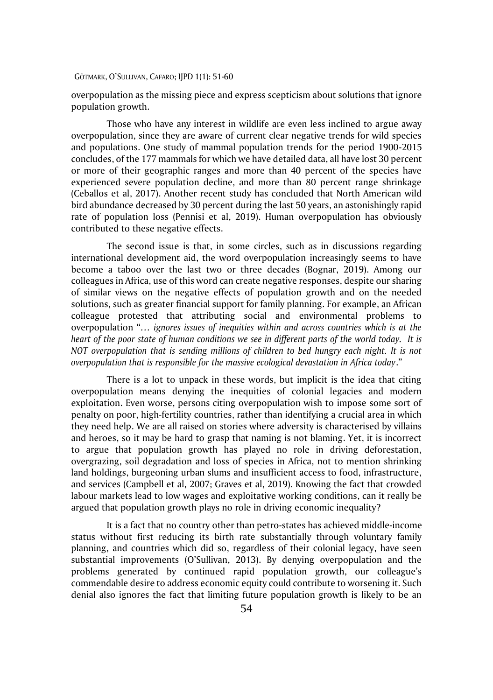overpopulation as the missing piece and express scepticism about solutions that ignore population growth.

Those who have any interest in wildlife are even less inclined to argue away overpopulation, since they are aware of current clear negative trends for wild species and populations. One study of mammal population trends for the period 1900-2015 concludes, of the 177 mammals for which we have detailed data, all have lost 30 percent or more of their geographic ranges and more than 40 percent of the species have experienced severe population decline, and more than 80 percent range shrinkage (Ceballos et al, 2017). Another recent study has concluded that North American wild bird abundance decreased by 30 percent during the last 50 years, an astonishingly rapid rate of population loss (Pennisi et al, 2019). Human overpopulation has obviously contributed to these negative effects.

The second issue is that, in some circles, such as in discussions regarding international development aid, the word overpopulation increasingly seems to have become a taboo over the last two or three decades (Bognar, 2019). Among our colleagues in Africa, use of this word can create negative responses, despite our sharing of similar views on the negative effects of population growth and on the needed solutions, such as greater financial support for family planning. For example, an African colleague protested that attributing social and environmental problems to overpopulation "*… ignores issues of inequities within and across countries which is at the heart of the poor state of human conditions we see in different parts of the world today. It is NOT overpopulation that is sending millions of children to bed hungry each night. It is not overpopulation that is responsible for the massive ecological devastation in Africa today*."

There is a lot to unpack in these words, but implicit is the idea that citing overpopulation means denying the inequities of colonial legacies and modern exploitation. Even worse, persons citing overpopulation wish to impose some sort of penalty on poor, high-fertility countries, rather than identifying a crucial area in which they need help. We are all raised on stories where adversity is characterised by villains and heroes, so it may be hard to grasp that naming is not blaming. Yet, it is incorrect to argue that population growth has played no role in driving deforestation, overgrazing, soil degradation and loss of species in Africa, not to mention shrinking land holdings, burgeoning urban slums and insufficient access to food, infrastructure, and services (Campbell et al, 2007; Graves et al, 2019). Knowing the fact that crowded labour markets lead to low wages and exploitative working conditions, can it really be argued that population growth plays no role in driving economic inequality?

It is a fact that no country other than petro-states has achieved middle-income status without first reducing its birth rate substantially through voluntary family planning, and countries which did so, regardless of their colonial legacy, have seen substantial improvements (O'Sullivan, 2013). By denying overpopulation and the problems generated by continued rapid population growth, our colleague's commendable desire to address economic equity could contribute to worsening it. Such denial also ignores the fact that limiting future population growth is likely to be an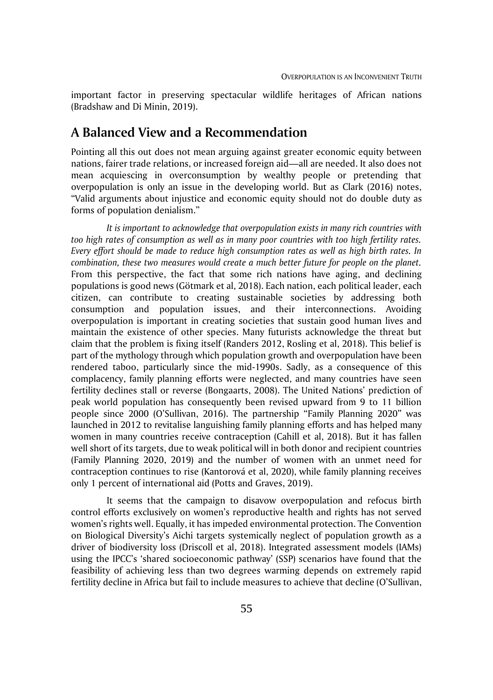important factor in preserving spectacular wildlife heritages of African nations (Bradshaw and Di Minin, 2019).

## **A Balanced View and a Recommendation**

Pointing all this out does not mean arguing against greater economic equity between nations, fairer trade relations, or increased foreign aid—all are needed. It also does not mean acquiescing in overconsumption by wealthy people or pretending that overpopulation is only an issue in the developing world. But as Clark (2016) notes, "Valid arguments about injustice and economic equity should not do double duty as forms of population denialism."

*It is important to acknowledge that overpopulation exists in many rich countries with too high rates of consumption as well as in many poor countries with too high fertility rates. Every effort should be made to reduce high consumption rates as well as high birth rates. In combination, these two measures would create a much better future for people on the planet.*  From this perspective, the fact that some rich nations have aging, and declining populations is good news (Götmark et al, 2018). Each nation, each political leader, each citizen, can contribute to creating sustainable societies by addressing both consumption and population issues, and their interconnections. Avoiding overpopulation is important in creating societies that sustain good human lives and maintain the existence of other species. Many futurists acknowledge the threat but claim that the problem is fixing itself (Randers 2012, Rosling et al, 2018). This belief is part of the mythology through which population growth and overpopulation have been rendered taboo, particularly since the mid-1990s. Sadly, as a consequence of this complacency, family planning efforts were neglected, and many countries have seen fertility declines stall or reverse (Bongaarts, 2008). The United Nations' prediction of peak world population has consequently been revised upward from 9 to 11 billion people since 2000 (O'Sullivan, 2016). The partnership "Family Planning 2020" was launched in 2012 to revitalise languishing family planning efforts and has helped many women in many countries receive contraception (Cahill et al, 2018). But it has fallen well short of its targets, due to weak political will in both donor and recipient countries (Family Planning 2020, 2019) and the number of women with an unmet need for contraception continues to rise (Kantorová et al, 2020), while family planning receives only 1 percent of international aid (Potts and Graves, 2019).

It seems that the campaign to disavow overpopulation and refocus birth control efforts exclusively on women's reproductive health and rights has not served women's rights well. Equally, it has impeded environmental protection. The Convention on Biological Diversity's Aichi targets systemically neglect of population growth as a driver of biodiversity loss (Driscoll et al, 2018). Integrated assessment models (IAMs) using the IPCC's 'shared socioeconomic pathway' (SSP) scenarios have found that the feasibility of achieving less than two degrees warming depends on extremely rapid fertility decline in Africa but fail to include measures to achieve that decline (O'Sullivan,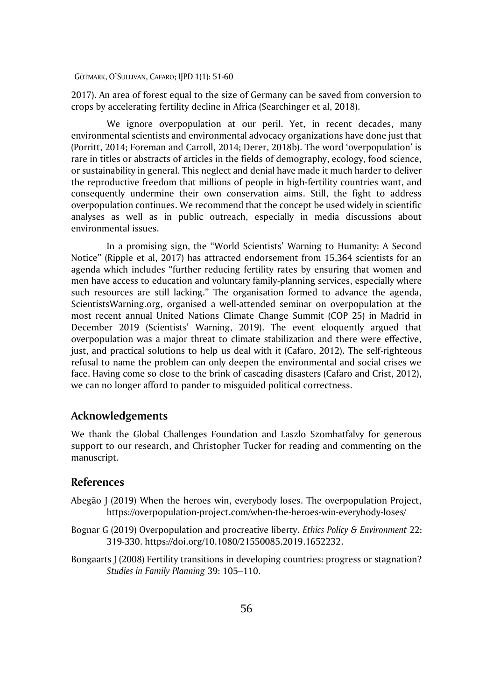2017). An area of forest equal to the size of Germany can be saved from conversion to crops by accelerating fertility decline in Africa (Searchinger et al, 2018).

We ignore overpopulation at our peril. Yet, in recent decades, many environmental scientists and environmental advocacy organizations have done just that (Porritt, 2014; Foreman and Carroll, 2014; Derer, 2018b). The word 'overpopulation' is rare in titles or abstracts of articles in the fields of demography, ecology, food science, or sustainability in general. This neglect and denial have made it much harder to deliver the reproductive freedom that millions of people in high-fertility countries want, and consequently undermine their own conservation aims. Still, the fight to address overpopulation continues. We recommend that the concept be used widely in scientific analyses as well as in public outreach, especially in media discussions about environmental issues.

In a promising sign, the "World Scientists' Warning to Humanity: A Second Notice" (Ripple et al, 2017) has attracted endorsement from 15,364 scientists for an agenda which includes "further reducing fertility rates by ensuring that women and men have access to education and voluntary family-planning services, especially where such resources are still lacking." The organisation formed to advance the agenda, ScientistsWarning.org, organised a well-attended seminar on overpopulation at the most recent annual United Nations Climate Change Summit (COP 25) in Madrid in December 2019 (Scientists' Warning, 2019). The event eloquently argued that overpopulation was a major threat to climate stabilization and there were effective, just, and practical solutions to help us deal with it (Cafaro, 2012). The self-righteous refusal to name the problem can only deepen the environmental and social crises we face. Having come so close to the brink of cascading disasters (Cafaro and Crist, 2012), we can no longer afford to pander to misguided political correctness.

#### **Acknowledgements**

We thank the Global Challenges Foundation and Laszlo Szombatfalvy for generous support to our research, and Christopher Tucker for reading and commenting on the manuscript.

#### **References**

- Abegão J (2019) When the heroes win, everybody loses. The overpopulation Project, <https://overpopulation-project.com/when-the-heroes-win-everybody-loses/>
- Bognar G (2019) Overpopulation and procreative liberty. *Ethics Policy & Environment* 22: 319-330. https://doi.org/10.1080/21550085.2019.1652232.
- Bongaarts J (2008) Fertility transitions in developing countries: progress or stagnation? *Studies in Family Planning* 39: 105–110.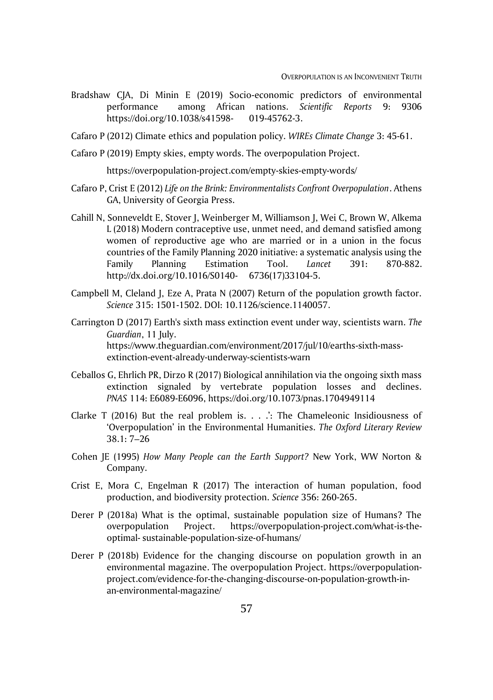- Bradshaw CJA, Di Minin E (2019) Socio-economic predictors of environmental performance among African nations. *Scientific Reports* 9: 9306 <https://doi.org/10.1038/s41598-> 019-45762-3.
- Cafaro P (2012) Climate ethics and population policy. *WIREs Climate Change* 3: 45-61.
- Cafaro P (2019) Empty skies, empty words. The overpopulation Project.

<https://overpopulation-project.com/empty-skies-empty-words/>

- Cafaro P, Crist E (2012) *Life on the Brink: Environmentalists Confront Overpopulation*. Athens GA, University of Georgia Press.
- Cahill N, Sonneveldt E, Stover J, Weinberger M, Williamson J, Wei C, Brown W, Alkema L (2018) Modern contraceptive use, unmet need, and demand satisfied among women of reproductive age who are married or in a union in the focus countries of the Family Planning 2020 initiative: a systematic analysis using the Family Planning Estimation Tool. *Lancet* 391: 870-882. <http://dx.doi.org/10.1016/S0140-> 6736(17)33104-5.
- Campbell M, Cleland J, Eze A, Prata N (2007) Return of the population growth factor. *Science* 315: 1501-1502. DOI: 10.1126/science.1140057.
- Carrington D (2017) Earth's sixth mass extinction event under way, scientists warn. *The Guardian*, 11 July. [https://www.theguardian.com/environment/2017/jul/10/earths-sixth-mass](https://www.theguardian.com/environment/2017/jul/10/earths-sixth-mass-%09extinction-event-already-underway-scientists-warn)[extinction-event-already-underway-scientists-warn](https://www.theguardian.com/environment/2017/jul/10/earths-sixth-mass-%09extinction-event-already-underway-scientists-warn)
- Ceballos G, Ehrlich PR, Dirzo R (2017) Biological annihilation via the ongoing sixth mass extinction signaled by vertebrate population losses and declines. *PNAS* 114: E6089-E6096[, https://doi.org/10.1073/pnas.1704949114](https://doi.org/10.1073/pnas.1704949114)
- Clarke T (2016) But the real problem is. . . .': The Chameleonic Insidiousness of 'Overpopulation' in the Environmental Humanities. *The Oxford Literary Review* 38.1: 7–26
- Cohen JE (1995) *How Many People can the Earth Support?* New York, WW Norton & Company.
- Crist E, Mora C, Engelman R (2017) The interaction of human population, food production, and biodiversity protection. *Science* 356: 260-265.
- Derer P (2018a) What is the optimal, sustainable population size of Humans? The overpopulation Project. [https://overpopulation-project.com/what-is-the](https://overpopulation-project.com/what-is-the-%09optimal-)[optimal-](https://overpopulation-project.com/what-is-the-%09optimal-)sustainable-population-size-of-humans/
- Derer P (2018b) Evidence for the changing discourse on population growth in an environmental magazine. The overpopulation Project. [https://overpopulation](https://overpopulation-/)project.com/evidence-for-the-changing-discourse-on-population-growth-inan-environmental-magazine/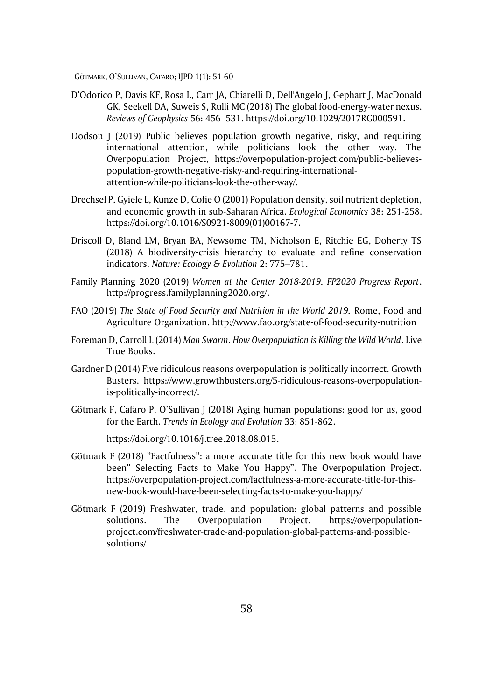- D'Odorico P, [Davis](https://agupubs.onlinelibrary.wiley.com/action/doSearch?ContribAuthorStored=Davis%2C+Kyle+Frankel) KF, [Rosa](https://agupubs.onlinelibrary.wiley.com/action/doSearch?ContribAuthorStored=Rosa%2C+Lorenzo) L, [Carr](https://agupubs.onlinelibrary.wiley.com/action/doSearch?ContribAuthorStored=Carr%2C+Joel+A) JA, [Chiarelli](https://agupubs.onlinelibrary.wiley.com/action/doSearch?ContribAuthorStored=Chiarelli%2C+Davide) D, [Dell'Angelo](https://agupubs.onlinelibrary.wiley.com/action/doSearch?ContribAuthorStored=Dell%27Angelo%2C+Jampel) J, [Gephart](https://agupubs.onlinelibrary.wiley.com/action/doSearch?ContribAuthorStored=Gephart%2C+Jessica) J, [MacDonald](https://agupubs.onlinelibrary.wiley.com/action/doSearch?ContribAuthorStored=MacDonald%2C+Graham+K) GK, [Seekell](https://agupubs.onlinelibrary.wiley.com/action/doSearch?ContribAuthorStored=Seekell%2C+David+A) DA, [Suweis](https://agupubs.onlinelibrary.wiley.com/action/doSearch?ContribAuthorStored=Suweis%2C+Samir) S, [Rulli](https://agupubs.onlinelibrary.wiley.com/action/doSearch?ContribAuthorStored=Rulli%2C+Maria+Cristina) [M](https://agupubs.onlinelibrary.wiley.com/doi/full/10.1029/2017RG000591)C (2018) The global food-energy-water nexus. *Reviews of Geophysics* 56: 456–531. https://doi.org/10.1029/2017RG000591.
- Dodson J (2019) Public believes population growth negative, risky, and requiring international attention, while politicians look the other way. The Overpopulation Project, [https://overpopulation-project.com/public-believes](https://overpopulation-project.com/public-believes-%09population-growth-negative-risky-and-requiring-international-%09attention-while-politicians-look-the-other-way/)[population-growth-negative-risky-and-requiring-international](https://overpopulation-project.com/public-believes-%09population-growth-negative-risky-and-requiring-international-%09attention-while-politicians-look-the-other-way/)[attention-while-politicians-look-the-other-way/.](https://overpopulation-project.com/public-believes-%09population-growth-negative-risky-and-requiring-international-%09attention-while-politicians-look-the-other-way/)
- Drechsel P, Gyiele L, Kunze D, Cofie O (2001) Population density, soil nutrient depletion, and economic growth in sub-Saharan Africa. *Ecological Economics* 38: 251-258. [https://doi.org/10.1016/S0921-8009\(01\)00167-7.](https://doi.org/10.1016/S0921-8009(01)00167-7)
- Driscoll D, Bland LM, Bryan BA, Newsome TM, Nicholson E, Ritchie EG, Doherty TS (2018) A biodiversity-crisis hierarchy to evaluate and refine conservation indicators. *Nature: Ecology & Evolution* 2: 775–781.
- Family Planning 2020 (2019) *Women at the Center 2018-2019. FP2020 Progress Report*. [http://progress.familyplanning2020.org/.](http://progress.familyplanning2020.org/)
- FAO (2019) *The State of Food Security and Nutrition in the World 2019.* Rome, Food and Agriculture Organization.<http://www.fao.org/state-of-food-security-nutrition>
- Foreman D, Carroll L (2014) *Man Swarm*. *How Overpopulation is Killing the Wild World*. Live True Books.
- Gardner D (2014) Five ridiculous reasons overpopulation is politically incorrect. Growth Busters. [https://www.growthbusters.org/5-ridiculous-reasons-overpopulation](https://www.growthbusters.org/5-ridiculous-reasons-overpopulation-%09is-politically-incorrect/)[is-politically-incorrect/.](https://www.growthbusters.org/5-ridiculous-reasons-overpopulation-%09is-politically-incorrect/)
- Götmark F, Cafaro P, O'Sullivan J (2018) Aging human populations: good for us, good for the Earth. *Trends in Ecology and Evolution* 33: 851-862.

[https://doi.org/10.1016/j.tree.2018.08.015.](https://doi.org/10.1016/j.tree.2018.08.015)

- Götmark F (2018) "Factfulness": a more accurate title for this new book would have been" Selecting Facts to Make You Happy". The Overpopulation Project. [https://overpopulation-project.com/factfulness-a-more-accurate-title-for-this](https://overpopulation-project.com/factfulness-a-more-accurate-title-for-this-%09new-book-would-have-been-selecting-facts-to-make-you-happy/)[new-book-would-have-been-selecting-facts-to-make-you-happy/](https://overpopulation-project.com/factfulness-a-more-accurate-title-for-this-%09new-book-would-have-been-selecting-facts-to-make-you-happy/)
- Götmark F (2019) Freshwater, trade, and population: global patterns and possible solutions. The Overpopulation Project. https://overpopulationproject.com/freshwater-trade-and-population-global-patterns-and-possiblesolutions/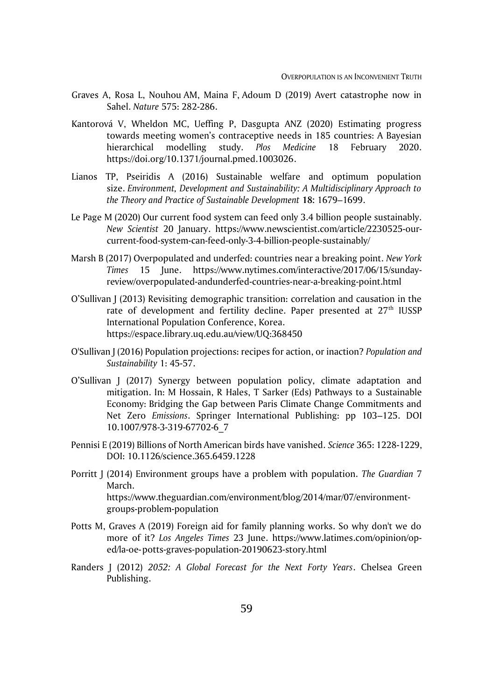- Graves A, [Rosa](https://www.nature.com/articles/d41586-019-03445-z#author-1) L, [Nouhou](https://www.nature.com/articles/d41586-019-03445-z#author-2) AM, [Maina](https://www.nature.com/articles/d41586-019-03445-z#author-3) F, [Adoum](https://www.nature.com/articles/d41586-019-03445-z#author-4) D (2019) Avert catastrophe now in Sahel. *Nature* 575: 282-286.
- Kantorová V, Wheldon MC, Ueffing P, Dasgupta ANZ (2020) Estimating progress towards meeting women's contraceptive needs in 185 countries: A Bayesian hierarchical modelling study. *Plos Medicine* 18 February 2020. [https://doi.org/10.1371/journal.pmed.1003026.](https://doi.org/10.1371/journal.pmed.1003026)
- Lianos TP, Pseiridis A (2016) Sustainable welfare and optimum population size. *Environment, Development and Sustainability: A Multidisciplinary Approach to the Theory and Practice of Sustainable Development* **18:** 1679–1699.
- Le Page M (2020) Our current food system can feed only 3.4 billion people sustainably. *New Scientist* 20 January. [https://www.newscientist.com/article/2230525-our](https://www.newscientist.com/article/2230525-our-%09current-food-system-can-feed-only-3-4-billion-people-sustainably/)[current-food-system-can-feed-only-3-4-billion-people-sustainably/](https://www.newscientist.com/article/2230525-our-%09current-food-system-can-feed-only-3-4-billion-people-sustainably/)
- Marsh B (2017) Overpopulated and underfed: countries near a breaking point. *New York Times* 15 June. [https://www.nytimes.com/interactive/2017/06/15/sunday](https://www.nytimes.com/interactive/2017/06/15/sunday-%09review/overpopulated-andunderfed-countries-near-a-breaking-point.html)[review/overpopulated-andunderfed-countries-near-a-breaking-point.html](https://www.nytimes.com/interactive/2017/06/15/sunday-%09review/overpopulated-andunderfed-countries-near-a-breaking-point.html)
- O'Sullivan J (2013) Revisiting demographic transition: correlation and causation in the rate of development and fertility decline. Paper presented at 27<sup>th</sup> IUSSP International Population Conference, Korea. https://espace.library.uq.edu.au/view/UQ:368450
- O'Sullivan J (2016) Population projections: recipes for action, or inaction? *Population and Sustainability* 1: 45-57.
- O'Sullivan J (2017) Synergy between population policy, climate adaptation and mitigation. In: M Hossain, R Hales, T Sarker (Eds) Pathways to a Sustainable Economy: Bridging the Gap between Paris Climate Change Commitments and Net Zero *Emissions*. Springer International Publishing: pp 103–125. DOI 10.1007/978-3-319-67702-6\_7
- Pennisi E (2019) Billions of North American birds have vanished. *Science* 365: 1228-1229, DOI: 10.1126/science.365.6459.1228
- Porritt J (2014) Environment groups have a problem with population. *The Guardian* 7 March. [https://www.theguardian.com/environment/blog/2014/mar/07/environment](https://www.theguardian.com/environment/blog/2014/mar/07/environment-%09groups-problem-population)[groups-problem-population](https://www.theguardian.com/environment/blog/2014/mar/07/environment-%09groups-problem-population)
- Potts M, Graves A (2019) Foreign aid for family planning works. So why don't we do more of it? *Los Angeles Times* 23 June. [https://www.latimes.com/opinion/op](https://www.latimes.com/opinion/op-%09ed/la-oe-%09potts-graves-population-20190623-story.html)[ed/la-oe-potts-graves-population-20190623-story.html](https://www.latimes.com/opinion/op-%09ed/la-oe-%09potts-graves-population-20190623-story.html)
- Randers J (2012) *2052: A Global Forecast for the Next Forty Years*. Chelsea Green Publishing.